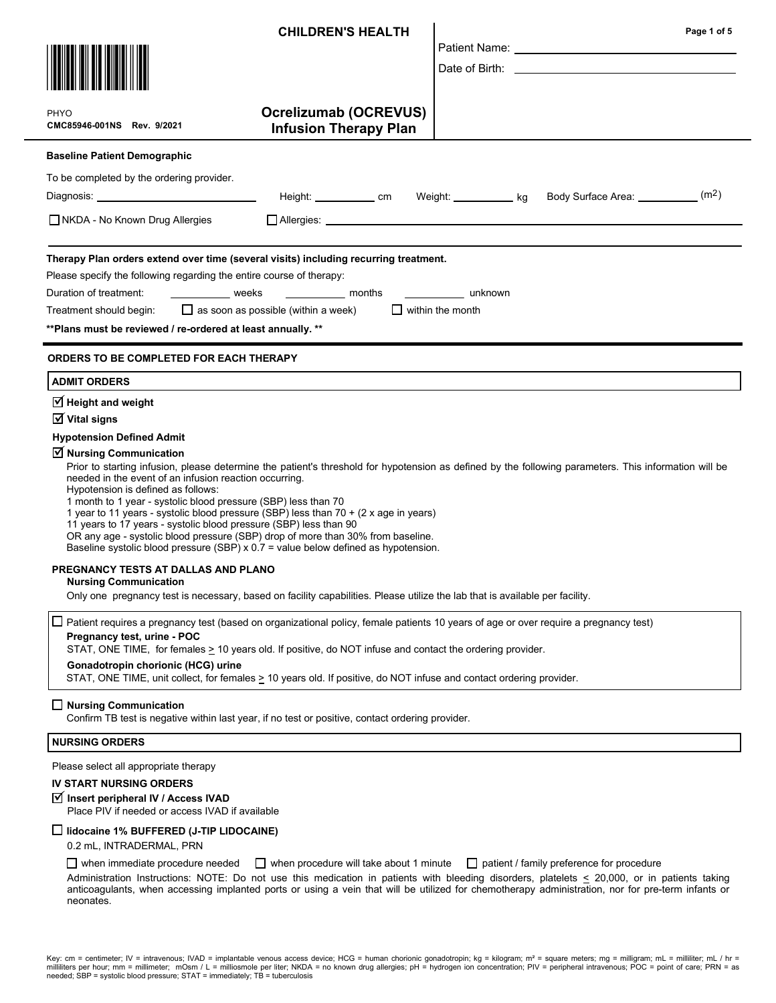|                                                                                                                                                                                                                                                                                                                                                                                                                                                                                                                                               | <b>CHILDREN'S HEALTH</b>                                     | Page 1 of 5                                                                                                                                                                                                                                                                                       |
|-----------------------------------------------------------------------------------------------------------------------------------------------------------------------------------------------------------------------------------------------------------------------------------------------------------------------------------------------------------------------------------------------------------------------------------------------------------------------------------------------------------------------------------------------|--------------------------------------------------------------|---------------------------------------------------------------------------------------------------------------------------------------------------------------------------------------------------------------------------------------------------------------------------------------------------|
|                                                                                                                                                                                                                                                                                                                                                                                                                                                                                                                                               |                                                              |                                                                                                                                                                                                                                                                                                   |
| PHYO<br>CMC85946-001NS Rev. 9/2021                                                                                                                                                                                                                                                                                                                                                                                                                                                                                                            | <b>Ocrelizumab (OCREVUS)</b><br><b>Infusion Therapy Plan</b> |                                                                                                                                                                                                                                                                                                   |
| <b>Baseline Patient Demographic</b>                                                                                                                                                                                                                                                                                                                                                                                                                                                                                                           |                                                              |                                                                                                                                                                                                                                                                                                   |
| To be completed by the ordering provider.                                                                                                                                                                                                                                                                                                                                                                                                                                                                                                     |                                                              |                                                                                                                                                                                                                                                                                                   |
| Diagnosis: _________________________________                                                                                                                                                                                                                                                                                                                                                                                                                                                                                                  | Height: ____________ cm Weight: ___________ kg               | (m2)<br>Body Surface Area: __________                                                                                                                                                                                                                                                             |
| $\Box$ NKDA - No Known Drug Allergies                                                                                                                                                                                                                                                                                                                                                                                                                                                                                                         |                                                              |                                                                                                                                                                                                                                                                                                   |
| Therapy Plan orders extend over time (several visits) including recurring treatment.<br>Please specify the following regarding the entire course of therapy:<br>Duration of treatment: ________________ weeks ______________ months<br>Treatment should begin: $\Box$ as soon as possible (within a week)<br>** Plans must be reviewed / re-ordered at least annually. **                                                                                                                                                                     |                                                              | _____________ unknown<br>$\Box$ within the month                                                                                                                                                                                                                                                  |
| <b>ORDERS TO BE COMPLETED FOR EACH THERAPY</b>                                                                                                                                                                                                                                                                                                                                                                                                                                                                                                |                                                              |                                                                                                                                                                                                                                                                                                   |
| <b>ADMIT ORDERS</b>                                                                                                                                                                                                                                                                                                                                                                                                                                                                                                                           |                                                              |                                                                                                                                                                                                                                                                                                   |
| $\boxtimes$ Height and weight                                                                                                                                                                                                                                                                                                                                                                                                                                                                                                                 |                                                              |                                                                                                                                                                                                                                                                                                   |
| $\overline{\mathsf{M}}$ Vital signs<br><b>Hypotension Defined Admit</b>                                                                                                                                                                                                                                                                                                                                                                                                                                                                       |                                                              |                                                                                                                                                                                                                                                                                                   |
| $\triangledown$ Nursing Communication<br>needed in the event of an infusion reaction occurring.<br>Hypotension is defined as follows:<br>1 month to 1 year - systolic blood pressure (SBP) less than 70<br>1 year to 11 years - systolic blood pressure (SBP) less than 70 + (2 x age in years)<br>11 years to 17 years - systolic blood pressure (SBP) less than 90<br>OR any age - systolic blood pressure (SBP) drop of more than 30% from baseline.<br>Baseline systolic blood pressure (SBP) x 0.7 = value below defined as hypotension. |                                                              | Prior to starting infusion, please determine the patient's threshold for hypotension as defined by the following parameters. This information will be                                                                                                                                             |
| PREGNANCY TESTS AT DALLAS AND PLANO<br><b>Nursing Communication</b><br>Only one pregnancy test is necessary, based on facility capabilities. Please utilize the lab that is available per facility.                                                                                                                                                                                                                                                                                                                                           |                                                              |                                                                                                                                                                                                                                                                                                   |
| $\Box$<br>Pregnancy test, urine - POC<br>STAT, ONE TIME, for females > 10 years old. If positive, do NOT infuse and contact the ordering provider.                                                                                                                                                                                                                                                                                                                                                                                            |                                                              | Patient requires a pregnancy test (based on organizational policy, female patients 10 years of age or over require a pregnancy test)                                                                                                                                                              |
| Gonadotropin chorionic (HCG) urine<br>STAT, ONE TIME, unit collect, for females > 10 years old. If positive, do NOT infuse and contact ordering provider.                                                                                                                                                                                                                                                                                                                                                                                     |                                                              |                                                                                                                                                                                                                                                                                                   |
| $\Box$ Nursing Communication<br>Confirm TB test is negative within last year, if no test or positive, contact ordering provider.                                                                                                                                                                                                                                                                                                                                                                                                              |                                                              |                                                                                                                                                                                                                                                                                                   |
| <b>NURSING ORDERS</b>                                                                                                                                                                                                                                                                                                                                                                                                                                                                                                                         |                                                              |                                                                                                                                                                                                                                                                                                   |
| Please select all appropriate therapy                                                                                                                                                                                                                                                                                                                                                                                                                                                                                                         |                                                              |                                                                                                                                                                                                                                                                                                   |
| <b>IV START NURSING ORDERS</b><br>Ø Insert peripheral IV / Access IVAD<br>Place PIV if needed or access IVAD if available                                                                                                                                                                                                                                                                                                                                                                                                                     |                                                              |                                                                                                                                                                                                                                                                                                   |
| $\Box$ lidocaine 1% BUFFERED (J-TIP LIDOCAINE)                                                                                                                                                                                                                                                                                                                                                                                                                                                                                                |                                                              |                                                                                                                                                                                                                                                                                                   |
| 0.2 mL, INTRADERMAL, PRN<br>$\Box$ when immediate procedure needed                                                                                                                                                                                                                                                                                                                                                                                                                                                                            | $\Box$ when procedure will take about 1 minute               | $\Box$ patient / family preference for procedure                                                                                                                                                                                                                                                  |
| neonates.                                                                                                                                                                                                                                                                                                                                                                                                                                                                                                                                     |                                                              | Administration Instructions: NOTE: Do not use this medication in patients with bleeding disorders, platelets < 20,000, or in patients taking<br>anticoagulants, when accessing implanted ports or using a vein that will be utilized for chemotherapy administration, nor for pre-term infants or |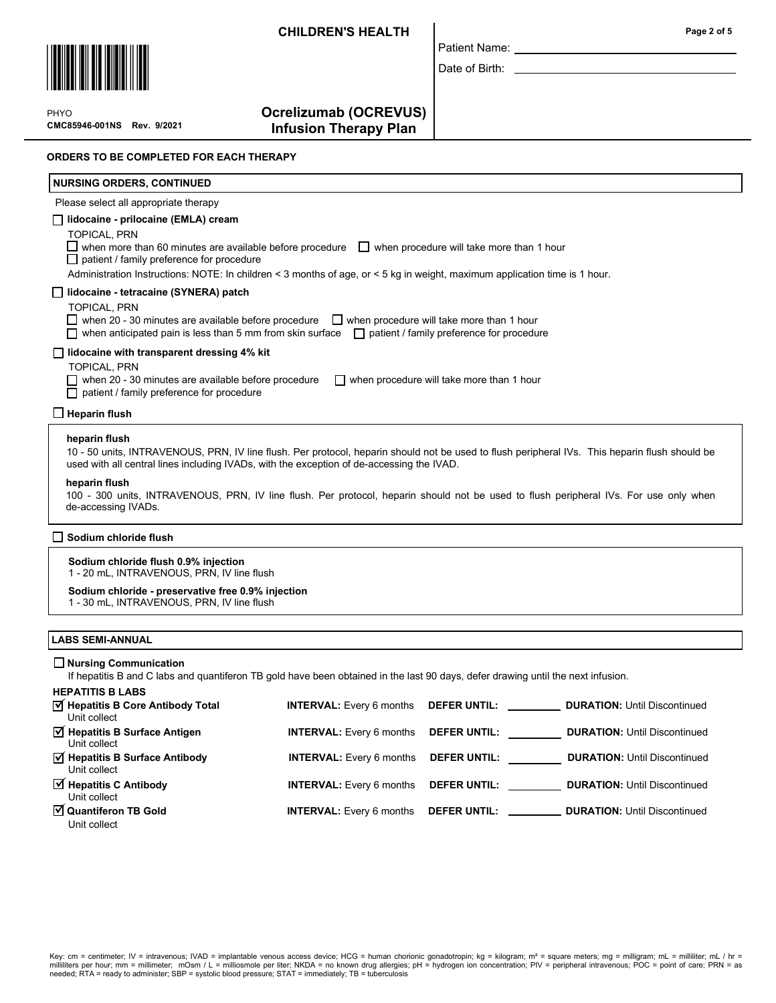Patient Name: Date of Birth:



 $\mathbf{P}$ CMC85946-001NS Rev. 9/2021 PHYO

Ocrelizumab (OCREVUS) Infusion Therapy Plan

#### ORDERS TO BE COMPLETED FOR EACH THERAPY

# lidocaine - prilocaine (EMLA) cream TOPICAL, PRN  $\Box$  when more than 60 minutes are available before procedure  $\Box$  when procedure will take more than 1 hour  $\Box$  patient / family preference for procedure Administration Instructions: NOTE: In children < 3 months of age, or < 5 kg in weight, maximum application time is 1 hour. Please select all appropriate therapy NURSING ORDERS, CONTINUED lidocaine - tetracaine (SYNERA) patch TOPICAL, PRN  $\Box$  when 20 - 30 minutes are available before procedure  $\Box$  when procedure will take more than 1 hour when anticipated pain is less than 5 mm from skin surface  $\Box$  patient / family preference for procedure  $\Box$  lidocaine with transparent dressing 4% kit TOPICAL, PRN when 20 - 30 minutes are available before procedure  $\Box$  when procedure will take more than 1 hour patient / family preference for procedure heparin flush heparin flush 10 - 50 units, INTRAVENOUS, PRN, IV line flush. Per protocol, heparin should not be used to flush peripheral IVs. This heparin flush should be used with all central lines including IVADs, with the exception of de-accessing the IVAD. 100 - 300 units, INTRAVENOUS, PRN, IV line flush. Per protocol, heparin should not be used to flush peripheral IVs. For use only when de-accessing IVADs.  $\Box$  Heparin flush Sodium chloride flush 0.9% injection 1 - 20 mL, INTRAVENOUS, PRN, IV line flush Sodium chloride - preservative free 0.9% injection 1 - 30 mL, INTRAVENOUS, PRN, IV line flush Sodium chloride flush

#### LABS SEMI-ANNUAL

#### Nursing Communication

If hepatitis B and C labs and quantiferon TB gold have been obtained in the last 90 days, defer drawing until the next infusion.

| <b>HEPATITIS B LABS</b>                                          |                                 |                     |                                     |
|------------------------------------------------------------------|---------------------------------|---------------------|-------------------------------------|
| M Hepatitis B Core Antibody Total<br>Unit collect                | <b>INTERVAL:</b> Every 6 months | <b>DEFER UNTIL:</b> | <b>DURATION: Until Discontinued</b> |
| $\overrightarrow{v}$ Hepatitis B Surface Antigen<br>Unit collect | <b>INTERVAL:</b> Every 6 months | <b>DEFER UNTIL:</b> | <b>DURATION: Until Discontinued</b> |
| Ø Hepatitis B Surface Antibody<br>Unit collect                   | <b>INTERVAL:</b> Every 6 months | <b>DEFER UNTIL:</b> | <b>DURATION: Until Discontinued</b> |
| $\overrightarrow{v}$ Hepatitis C Antibody<br>Unit collect        | <b>INTERVAL:</b> Every 6 months | <b>DEFER UNTIL:</b> | <b>DURATION: Until Discontinued</b> |
| ☑ Quantiferon TB Gold<br>Unit collect                            |                                 |                     |                                     |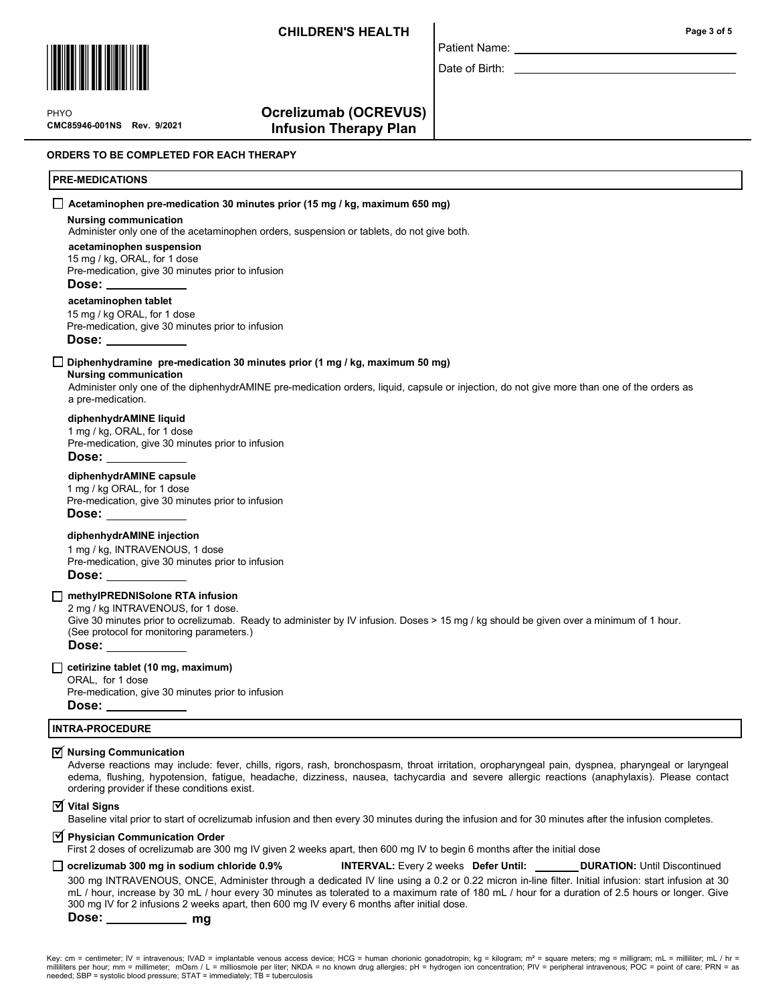Patient Name: Date of Birth:



 $\mathbf{P}$ CMC85946-001NS Rev. 9/2021 PHYO

### Ocrelizumab (OCREVUS) Infusion Therapy Plan

ORDERS TO BE COMPLETED FOR EACH THERAPY

#### PRE-MEDICATIONS

### Nursing communication acetaminophen suspension acetaminophen tablet Administer only one of the acetaminophen orders, suspension or tablets, do not give both. 15 mg / kg, ORAL, for 1 dose Pre-medication, give 30 minutes prior to infusion Dose: 15 mg / kg ORAL, for 1 dose Pre-medication, give 30 minutes prior to infusion Dose:  $\Box$  Acetaminophen pre-medication 30 minutes prior (15 mg / kg, maximum 650 mg)

### $\Box$  Diphenhydramine pre-medication 30 minutes prior (1 mg / kg, maximum 50 mg)

### Nursing communication

Administer only one of the diphenhydrAMINE pre-medication orders, liquid, capsule or injection, do not give more than one of the orders as a pre-medication.

### diphenhydrAMINE liquid

1 mg / kg, ORAL, for 1 dose Pre-medication, give 30 minutes prior to infusion Dose:

### diphenhydrAMINE capsule

1 mg / kg ORAL, for 1 dose Pre-medication, give 30 minutes prior to infusion

Dose:

#### diphenhydrAMINE injection

1 mg / kg, INTRAVENOUS, 1 dose Pre-medication, give 30 minutes prior to infusion Dose:

#### methyIPREDNISolone RTA infusion

2 mg / kg INTRAVENOUS, for 1 dose.

Give 30 minutes prior to ocrelizumab. Ready to administer by IV infusion. Doses > 15 mg / kg should be given over a minimum of 1 hour. (See protocol for monitoring parameters.)

Dose:

### $\Box$  cetirizine tablet (10 mg, maximum)

ORAL, for 1 dose Pre-medication, give 30 minutes prior to infusion Dose:

# INTRA-PROCEDURE

# $\overline{\trianglelefteq}$  Nursing Communication

Adverse reactions may include: fever, chills, rigors, rash, bronchospasm, throat irritation, oropharyngeal pain, dyspnea, pharyngeal or laryngeal edema, flushing, hypotension, fatigue, headache, dizziness, nausea, tachycardia and severe allergic reactions (anaphylaxis). Please contact ordering provider if these conditions exist.

 $\overline{\triangleleft}$  Vital Signs

Baseline vital prior to start of ocrelizumab infusion and then every 30 minutes during the infusion and for 30 minutes after the infusion completes.

# $\overline{\textbf{y}}$  Physician Communication Order

First 2 doses of ocrelizumab are 300 mg IV given 2 weeks apart, then 600 mg IV to begin 6 months after the initial dose

#### ocrelizumab 300 mg in sodium chloride 0.9% INTERVAL: Every 2 weeks Defer Until: DURATION: Until Discontinued 300 mg INTRAVENOUS, ONCE, Administer through a dedicated IV line using a 0.2 or 0.22 micron in-line filter. Initial infusion: start infusion at 30 mL / hour, increase by 30 mL / hour every 30 minutes as tolerated to a maximum rate of 180 mL / hour for a duration of 2.5 hours or longer. Give 300 mg IV for 2 infusions 2 weeks apart, then 600 mg IV every 6 months after initial dose.

Dose: mg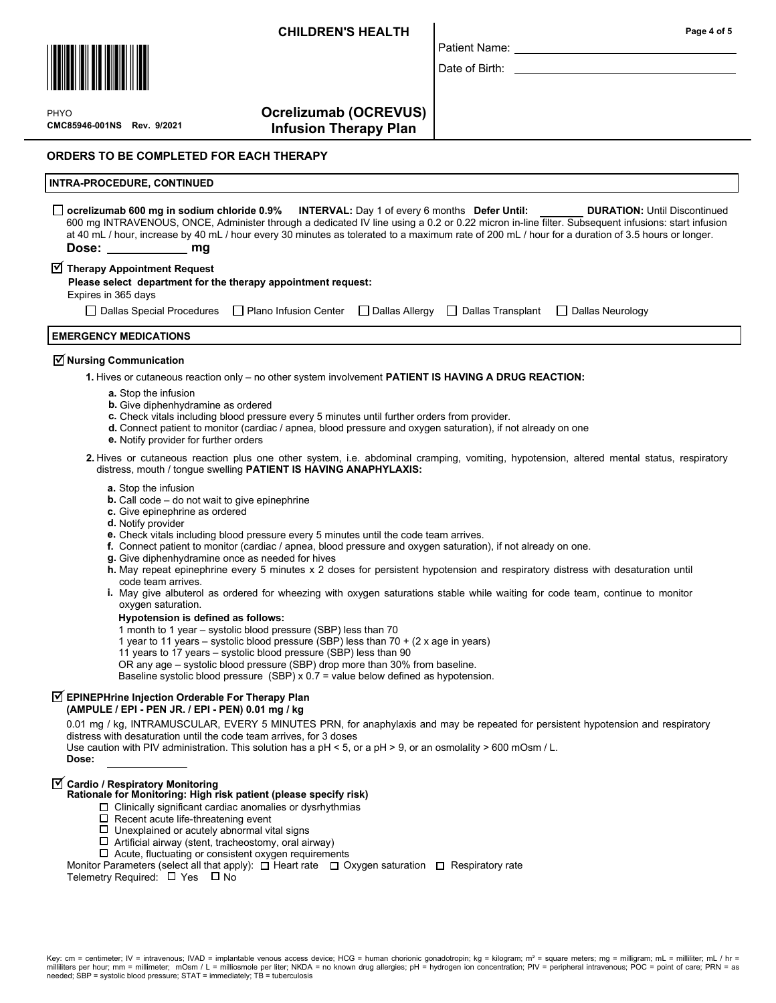

 $\mathbf{P}$ CMC85946-001NS Rev. 9/2021 PHYO

# Ocrelizumab (OCREVUS) Infusion Therapy Plan

ORDERS TO BE COMPLETED FOR EACH THERAPY

#### INTRA-PROCEDURE, CONTINUED

| $\Box$ ocrelizumab 600 mg in sodium chloride 0.9% INTERVAL: Day 1 of every 6 months Defer Until:                                                  |  | <b>DURATION: Until Discontinued</b> |
|---------------------------------------------------------------------------------------------------------------------------------------------------|--|-------------------------------------|
| 600 mg INTRAVENOUS, ONCE, Administer through a dedicated IV line using a 0.2 or 0.22 micron in-line filter. Subsequent infusions: start infusion  |  |                                     |
| at 40 mL / hour, increase by 40 mL / hour every 30 minutes as tolerated to a maximum rate of 200 mL / hour for a duration of 3.5 hours or longer. |  |                                     |
| Dose: ___________ mg                                                                                                                              |  |                                     |

Patient Name: Date of Birth:

# $\overline{\textbf{y}}$  Therapy Appointment Request

| Please select department for the therapy appointment request: |  |
|---------------------------------------------------------------|--|
|---------------------------------------------------------------|--|

Expires in 365 days

| □ Dallas Special Procedures □ Plano Infusion Center □ Dallas Allergy □ Dallas Transplant □ Dallas Neurology |  |  |  |  |
|-------------------------------------------------------------------------------------------------------------|--|--|--|--|
|-------------------------------------------------------------------------------------------------------------|--|--|--|--|

# EMERGENCY MEDICATIONS

# $\overline{\triangleleft}$  Nursing Communication

1. Hives or cutaneous reaction only – no other system involvement PATIENT IS HAVING A DRUG REACTION:

- a. Stop the infusion
- **b.** Give diphenhydramine as ordered
- c. Check vitals including blood pressure every 5 minutes until further orders from provider.
- d. Connect patient to monitor (cardiac / apnea, blood pressure and oxygen saturation), if not already on one
- e. Notify provider for further orders

2. Hives or cutaneous reaction plus one other system, i.e. abdominal cramping, vomiting, hypotension, altered mental status, respiratory distress, mouth / tongue swelling PATIENT IS HAVING ANAPHYLAXIS:

- a. Stop the infusion
- **. Call code**  $-$  **do not wait to give epinephrine**
- c. Give epinephrine as ordered
- d. Notify provider
- e. Check vitals including blood pressure every 5 minutes until the code team arrives.
- f. Connect patient to monitor (cardiac / apnea, blood pressure and oxygen saturation), if not already on one.
- g. Give diphenhydramine once as needed for hives
- h. May repeat epinephrine every 5 minutes x 2 doses for persistent hypotension and respiratory distress with desaturation until code team arrives.
- **i.** May give albuterol as ordered for wheezing with oxygen saturations stable while waiting for code team, continue to monitor oxygen saturation.

#### Hypotension is defined as follows:

1 month to 1 year – systolic blood pressure (SBP) less than 70

- 1 year to 11 years systolic blood pressure (SBP) less than 70 + (2 x age in years)
- 11 years to 17 years systolic blood pressure (SBP) less than 90

OR any age – systolic blood pressure (SBP) drop more than 30% from baseline.

Baseline systolic blood pressure (SBP) x 0.7 = value below defined as hypotension.

# $\overline{\trianglelefteq}$  EPINEPHrine Injection Orderable For Therapy Plan

(AMPULE / EPI - PEN JR. / EPI - PEN) 0.01 mg / kg

0.01 mg / kg, INTRAMUSCULAR, EVERY 5 MINUTES PRN, for anaphylaxis and may be repeated for persistent hypotension and respiratory distress with desaturation until the code team arrives, for 3 doses

Use caution with PIV administration. This solution has a  $pH < 5$ , or a  $pH > 9$ , or an osmolality  $> 600$  mOsm / L.

Dose:

# $\overline{\blacktriangleleft}$  Cardio / Respiratory Monitoring

# Rationale for Monitoring: High risk patient (please specify risk)

- $\Box$  Clinically significant cardiac anomalies or dysrhythmias
- $\square$  Recent acute life-threatening event
- $\square$  Unexplained or acutely abnormal vital signs
- $\Box$  Artificial airway (stent, tracheostomy, oral airway)
- $\Box$  Acute, fluctuating or consistent oxygen requirements

Monitor Parameters (select all that apply):  $\Box$  Heart rate  $\Box$  Oxygen saturation  $\Box$  Respiratory rate

Telemetry Required:  $\Box$  Yes  $\Box$  No